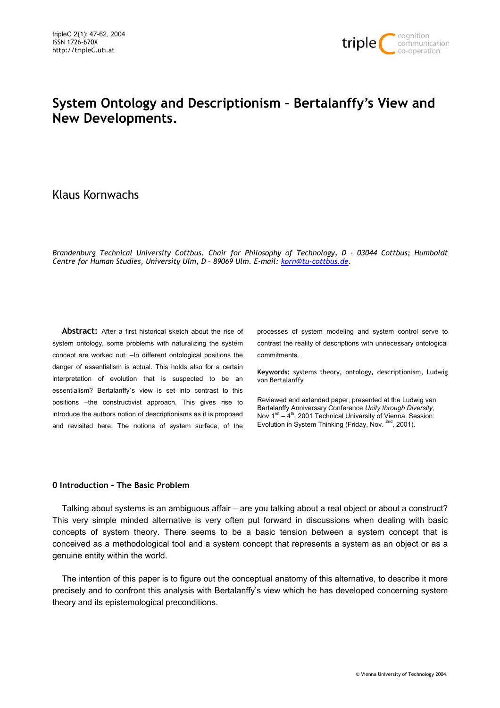

# **System Ontology and Descriptionism – Bertalanffy's View and New Developments.**

## Klaus Kornwachs

*Brandenburg Technical University Cottbus, Chair for Philosophy of Technology, D - 03044 Cottbus; Humboldt Centre for Human Studies, University Ulm, D – 89069 Ulm. E-mail: korn@tu-cottbus.de.*

**Abstract:** After a first historical sketch about the rise of system ontology, some problems with naturalizing the system concept are worked out: –In different ontological positions the danger of essentialism is actual. This holds also for a certain interpretation of evolution that is suspected to be an essentialism? Bertalanffy´s view is set into contrast to this positions -the constructivist approach. This gives rise to introduce the authors notion of descriptionisms as it is proposed and revisited here. The notions of system surface, of the processes of system modeling and system control serve to contrast the reality of descriptions with unnecessary ontological commitments.

**Keywords:** systems theory, ontology, descriptionism, Ludwig von Bertalanffy

Reviewed and extended paper, presented at the Ludwig van Bertalanffy Anniversary Conference *Unity through Diversity*, Nov  $1<sup>rst</sup> - 4<sup>th</sup>$ , 2001 Technical University of Vienna. Session: Evolution in System Thinking (Friday, Nov. 2nd, 2001).

### **0 Introduction – The Basic Problem**

Talking about systems is an ambiguous affair – are you talking about a real object or about a construct? This very simple minded alternative is very often put forward in discussions when dealing with basic concepts of system theory. There seems to be a basic tension between a system concept that is conceived as a methodological tool and a system concept that represents a system as an object or as a genuine entity within the world.

The intention of this paper is to figure out the conceptual anatomy of this alternative, to describe it more precisely and to confront this analysis with Bertalanffy's view which he has developed concerning system theory and its epistemological preconditions.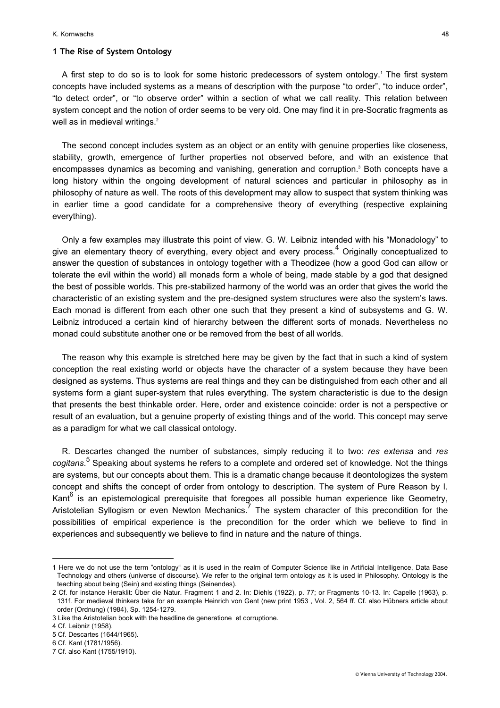#### K. Kornwachs 48

#### **1 The Rise of System Ontology**

A first step to do so is to look for some historic predecessors of system ontology.<sup>1</sup> The first system concepts have included systems as a means of description with the purpose "to order", "to induce order", "to detect order", or "to observe order" within a section of what we call reality. This relation between system concept and the notion of order seems to be very old. One may find it in pre-Socratic fragments as well as in medieval writings.<sup>[2](#page-1-1)</sup>

The second concept includes system as an object or an entity with genuine properties like closeness, stability, growth, emergence of further properties not observed before, and with an existence that encompasses dynamics as becoming and vanishing, generation and corruption.<sup>3</sup> Both concepts have a long history within the ongoing development of natural sciences and particular in philosophy as in philosophy of nature as well. The roots of this development may allow to suspect that system thinking was in earlier time a good candidate for a comprehensive theory of everything (respective explaining everything).

Only a few examples may illustrate this point of view. G. W. Leibniz intended with his "Monadology" to give an elementary theory of everything, every object and every process.<sup>[4](#page-1-3)</sup> Originally conceptualized to answer the question of substances in ontology together with a Theodizee (how a good God can allow or tolerate the evil within the world) all monads form a whole of being, made stable by a god that designed the best of possible worlds. This pre-stabilized harmony of the world was an order that gives the world the characteristic of an existing system and the pre-designed system structures were also the system's laws. Each monad is different from each other one such that they present a kind of subsystems and G. W. Leibniz introduced a certain kind of hierarchy between the different sorts of monads. Nevertheless no monad could substitute another one or be removed from the best of all worlds.

The reason why this example is stretched here may be given by the fact that in such a kind of system conception the real existing world or objects have the character of a system because they have been designed as systems. Thus systems are real things and they can be distinguished from each other and all systems form a giant super-system that rules everything. The system characteristic is due to the design that presents the best thinkable order. Here, order and existence coincide: order is not a perspective or result of an evaluation, but a genuine property of existing things and of the world. This concept may serve as a paradigm for what we call classical ontology.

R. Descartes changed the number of substances, simply reducing it to two: *res extensa* and *res cogitans*. [5](#page-1-4) Speaking about systems he refers to a complete and ordered set of knowledge. Not the things are systems, but our concepts about them. This is a dramatic change because it deontologizes the system concept and shifts the concept of order from ontology to description. The system of Pure Reason by I. Kant<sup>[6](#page-1-5)</sup> is an epistemological prerequisite that foregoes all possible human experience like Geometry, Aristotelian Syllogism or even Newton Mechanics.<sup>[7](#page-1-6)</sup> The system character of this precondition for the possibilities of empirical experience is the precondition for the order which we believe to find in experiences and subsequently we believe to find in nature and the nature of things.

<span id="page-1-0"></span><sup>1</sup> Here we do not use the term "ontology" as it is used in the realm of Computer Science like in Artificial Intelligence, Data Base Technology and others (universe of discourse). We refer to the original term ontology as it is used in Philosophy. Ontology is the teaching about being (Sein) and existing things (Seinendes).

<span id="page-1-1"></span><sup>2</sup> Cf. for instance Heraklit: Über die Natur. Fragment 1 and 2. In: Diehls (1922), p. 77; or Fragments 10-13. In: Capelle (1963), p. 131f. For medieval thinkers take for an example Heinrich von Gent (new print 1953 , Vol. 2, 564 ff. Cf. also Hübners article about order (Ordnung) (1984), Sp. 1254-1279.

<span id="page-1-2"></span><sup>3</sup> Like the Aristotelian book with the headline de generatione et corruptione.

<span id="page-1-3"></span><sup>4</sup> Cf. Leibniz (1958).

<span id="page-1-4"></span><sup>5</sup> Cf. Descartes (1644/1965).

<span id="page-1-5"></span><sup>6</sup> Cf. Kant (1781/1956).

<span id="page-1-6"></span><sup>7</sup> Cf. also Kant (1755/1910).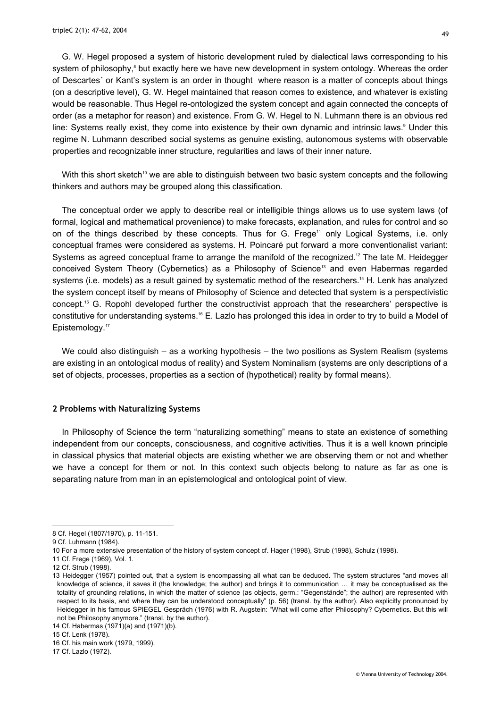G. W. Hegel proposed a system of historic development ruled by dialectical laws corresponding to his system of philosophy,<sup>8</sup> but exactly here we have new development in system ontology. Whereas the order of Descartes´ or Kant's system is an order in thought where reason is a matter of concepts about things (on a descriptive level), G. W. Hegel maintained that reason comes to existence, and whatever is existing would be reasonable. Thus Hegel re-ontologized the system concept and again connected the concepts of order (as a metaphor for reason) and existence. From G. W. Hegel to N. Luhmann there is an obvious red line: Systems really exist, they come into existence by their own dynamic and intrinsic laws.<sup>[9](#page-2-1)</sup> Under this regime N. Luhmann described social systems as genuine existing, autonomous systems with observable properties and recognizable inner structure, regularities and laws of their inner nature.

With this short sketch<sup>10</sup> we are able to distinguish between two basic system concepts and the following thinkers and authors may be grouped along this classification.

The conceptual order we apply to describe real or intelligible things allows us to use system laws (of formal, logical and mathematical provenience) to make forecasts, explanation, and rules for control and so on of the things described by these concepts. Thus for G. Frege<sup>11</sup> only Logical Systems, i.e. only conceptual frames were considered as systems. H. Poincaré put forward a more conventionalist variant: Systems as agreed conceptual frame to arrange the manifold of the recognized.<sup>12</sup> The late M. Heidegger conceived System Theory (Cybernetics) as a Philosophy of Science<sup>13</sup> and even Habermas regarded systems (i.e. models) as a result gained by systematic method of the researchers.<sup>14</sup> H. Lenk has analyzed the system concept itself by means of Philosophy of Science and detected that system is a perspectivistic concept[.15](#page-2-7) G. Ropohl developed further the constructivist approach that the researchers' perspective is constitutive for understanding systems.[16](#page-2-8) E. Lazlo has prolonged this idea in order to try to build a Model of Epistemology.<sup>17</sup>

We could also distinguish – as a working hypothesis – the two positions as System Realism (systems are existing in an ontological modus of reality) and System Nominalism (systems are only descriptions of a set of objects, processes, properties as a section of (hypothetical) reality by formal means).

#### **2 Problems with Naturalizing Systems**

In Philosophy of Science the term "naturalizing something" means to state an existence of something independent from our concepts, consciousness, and cognitive activities. Thus it is a well known principle in classical physics that material objects are existing whether we are observing them or not and whether we have a concept for them or not. In this context such objects belong to nature as far as one is separating nature from man in an epistemological and ontological point of view.

l

<span id="page-2-9"></span>17 Cf. Lazlo (1972).

<span id="page-2-0"></span><sup>8</sup> Cf. Hegel (1807/1970), p. 11-151.

<span id="page-2-1"></span><sup>9</sup> Cf. Luhmann (1984).

<span id="page-2-2"></span><sup>10</sup> For a more extensive presentation of the history of system concept cf. Hager (1998), Strub (1998), Schulz (1998).

<span id="page-2-3"></span><sup>11</sup> Cf. Frege (1969), Vol. 1.

<span id="page-2-4"></span><sup>12</sup> Cf. Strub (1998).

<span id="page-2-5"></span><sup>13</sup> Heidegger (1957) pointed out, that a system is encompassing all what can be deduced. The system structures "and moves all knowledge of science, it saves it (the knowledge; the author) and brings it to communication … it may be conceptualised as the totality of grounding relations, in which the matter of science (as objects, germ.: "Gegenstände"; the author) are represented with respect to its basis, and where they can be understood conceptually" (p. 56) (transl. by the author). Also explicitly pronounced by Heidegger in his famous SPIEGEL Gespräch (1976) with R. Augstein: "What will come after Philosophy? Cybernetics. But this will not be Philosophy anymore." (transl. by the author).

<span id="page-2-6"></span><sup>14</sup> Cf. Habermas (1971)(a) and (1971)(b).

<span id="page-2-7"></span><sup>15</sup> Cf. Lenk (1978).

<span id="page-2-8"></span><sup>16</sup> Cf. his main work (1979, 1999).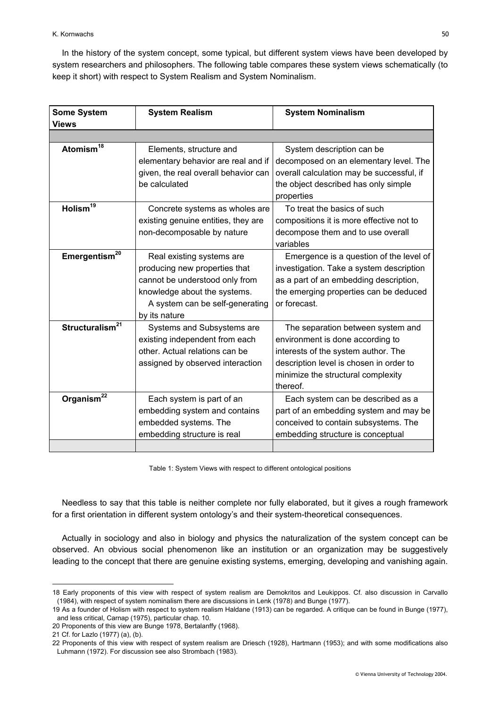In the history of the system concept, some typical, but different system views have been developed by system researchers and philosophers. The following table compares these system views schematically (to keep it short) with respect to System Realism and System Nominalism.

| <b>Some System</b><br>Views | <b>System Realism</b>                                                                                                                                                            | <b>System Nominalism</b>                                                                                                                                                                                  |
|-----------------------------|----------------------------------------------------------------------------------------------------------------------------------------------------------------------------------|-----------------------------------------------------------------------------------------------------------------------------------------------------------------------------------------------------------|
|                             |                                                                                                                                                                                  |                                                                                                                                                                                                           |
| Atomism <sup>18</sup>       | Elements, structure and<br>elementary behavior are real and if<br>given, the real overall behavior can<br>be calculated                                                          | System description can be<br>decomposed on an elementary level. The<br>overall calculation may be successful, if<br>the object described has only simple<br>properties                                    |
| Holism <sup>19</sup>        | Concrete systems as wholes are<br>existing genuine entities, they are<br>non-decomposable by nature                                                                              | To treat the basics of such<br>compositions it is more effective not to<br>decompose them and to use overall<br>variables                                                                                 |
| Emergentism <sup>20</sup>   | Real existing systems are<br>producing new properties that<br>cannot be understood only from<br>knowledge about the systems.<br>A system can be self-generating<br>by its nature | Emergence is a question of the level of<br>investigation. Take a system description<br>as a part of an embedding description,<br>the emerging properties can be deduced<br>or forecast.                   |
| Structuralism <sup>21</sup> | Systems and Subsystems are<br>existing independent from each<br>other. Actual relations can be<br>assigned by observed interaction                                               | The separation between system and<br>environment is done according to<br>interests of the system author. The<br>description level is chosen in order to<br>minimize the structural complexity<br>thereof. |
| Organism <sup>22</sup>      | Each system is part of an<br>embedding system and contains<br>embedded systems. The<br>embedding structure is real                                                               | Each system can be described as a<br>part of an embedding system and may be<br>conceived to contain subsystems. The<br>embedding structure is conceptual                                                  |

Table 1: System Views with respect to different ontological positions

Needless to say that this table is neither complete nor fully elaborated, but it gives a rough framework for a first orientation in different system ontology's and their system-theoretical consequences.

Actually in sociology and also in biology and physics the naturalization of the system concept can be observed. An obvious social phenomenon like an institution or an organization may be suggestively leading to the concept that there are genuine existing systems, emerging, developing and vanishing again.

<span id="page-3-0"></span><sup>18</sup> Early proponents of this view with respect of system realism are Demokritos and Leukippos. Cf. also discussion in Carvallo (1984), with respect of system nominalism there are discussions in Lenk (1978) and Bunge (1977).

<span id="page-3-1"></span><sup>19</sup> As a founder of Holism with respect to system realism Haldane (1913) can be regarded. A critique can be found in Bunge (1977), and less critical, Carnap (1975), particular chap. 10.

<span id="page-3-2"></span><sup>20</sup> Proponents of this view are Bunge 1978, Bertalanffy (1968).

<span id="page-3-3"></span><sup>21</sup> Cf. for Lazlo (1977) (a), (b).

<span id="page-3-4"></span><sup>22</sup> Proponents of this view with respect of system realism are Driesch (1928), Hartmann (1953); and with some modifications also Luhmann (1972). For discussion see also Strombach (1983).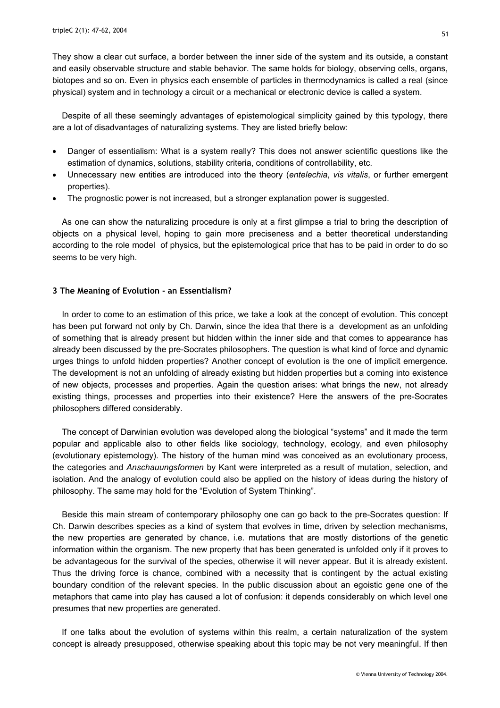They show a clear cut surface, a border between the inner side of the system and its outside, a constant and easily observable structure and stable behavior. The same holds for biology, observing cells, organs, biotopes and so on. Even in physics each ensemble of particles in thermodynamics is called a real (since physical) system and in technology a circuit or a mechanical or electronic device is called a system.

Despite of all these seemingly advantages of epistemological simplicity gained by this typology, there are a lot of disadvantages of naturalizing systems. They are listed briefly below:

- Danger of essentialism: What is a system really? This does not answer scientific questions like the estimation of dynamics, solutions, stability criteria, conditions of controllability, etc.
- Unnecessary new entities are introduced into the theory (*entelechia*, *vis vitalis*, or further emergent properties).
- The prognostic power is not increased, but a stronger explanation power is suggested.

As one can show the naturalizing procedure is only at a first glimpse a trial to bring the description of objects on a physical level, hoping to gain more preciseness and a better theoretical understanding according to the role model of physics, but the epistemological price that has to be paid in order to do so seems to be very high.

#### **3 The Meaning of Evolution - an Essentialism?**

In order to come to an estimation of this price, we take a look at the concept of evolution. This concept has been put forward not only by Ch. Darwin, since the idea that there is a development as an unfolding of something that is already present but hidden within the inner side and that comes to appearance has already been discussed by the pre-Socrates philosophers. The question is what kind of force and dynamic urges things to unfold hidden properties? Another concept of evolution is the one of implicit emergence. The development is not an unfolding of already existing but hidden properties but a coming into existence of new objects, processes and properties. Again the question arises: what brings the new, not already existing things, processes and properties into their existence? Here the answers of the pre-Socrates philosophers differed considerably.

The concept of Darwinian evolution was developed along the biological "systems" and it made the term popular and applicable also to other fields like sociology, technology, ecology, and even philosophy (evolutionary epistemology). The history of the human mind was conceived as an evolutionary process, the categories and *Anschauungsformen* by Kant were interpreted as a result of mutation, selection, and isolation. And the analogy of evolution could also be applied on the history of ideas during the history of philosophy. The same may hold for the "Evolution of System Thinking".

Beside this main stream of contemporary philosophy one can go back to the pre-Socrates question: If Ch. Darwin describes species as a kind of system that evolves in time, driven by selection mechanisms, the new properties are generated by chance, i.e. mutations that are mostly distortions of the genetic information within the organism. The new property that has been generated is unfolded only if it proves to be advantageous for the survival of the species, otherwise it will never appear. But it is already existent. Thus the driving force is chance, combined with a necessity that is contingent by the actual existing boundary condition of the relevant species. In the public discussion about an egoistic gene one of the metaphors that came into play has caused a lot of confusion: it depends considerably on which level one presumes that new properties are generated.

If one talks about the evolution of systems within this realm, a certain naturalization of the system concept is already presupposed, otherwise speaking about this topic may be not very meaningful. If then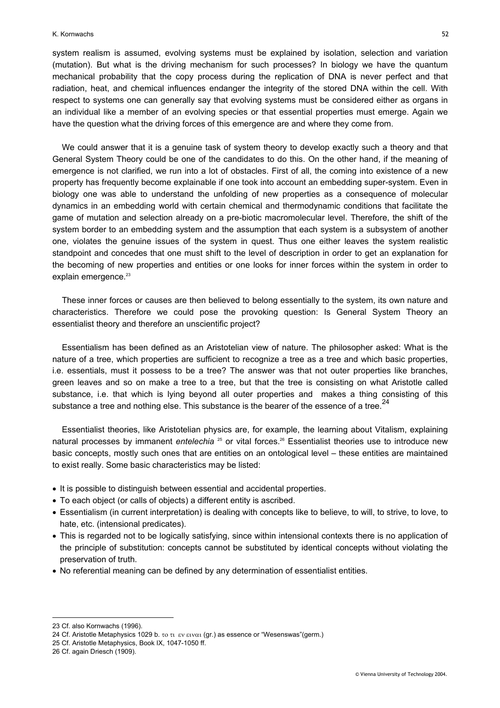system realism is assumed, evolving systems must be explained by isolation, selection and variation (mutation). But what is the driving mechanism for such processes? In biology we have the quantum mechanical probability that the copy process during the replication of DNA is never perfect and that radiation, heat, and chemical influences endanger the integrity of the stored DNA within the cell. With respect to systems one can generally say that evolving systems must be considered either as organs in an individual like a member of an evolving species or that essential properties must emerge. Again we have the question what the driving forces of this emergence are and where they come from.

We could answer that it is a genuine task of system theory to develop exactly such a theory and that General System Theory could be one of the candidates to do this. On the other hand, if the meaning of emergence is not clarified, we run into a lot of obstacles. First of all, the coming into existence of a new property has frequently become explainable if one took into account an embedding super-system. Even in biology one was able to understand the unfolding of new properties as a consequence of molecular dynamics in an embedding world with certain chemical and thermodynamic conditions that facilitate the game of mutation and selection already on a pre-biotic macromolecular level. Therefore, the shift of the system border to an embedding system and the assumption that each system is a subsystem of another one, violates the genuine issues of the system in quest. Thus one either leaves the system realistic standpoint and concedes that one must shift to the level of description in order to get an explanation for the becoming of new properties and entities or one looks for inner forces within the system in order to explain emergence.<sup>23</sup>

These inner forces or causes are then believed to belong essentially to the system, its own nature and characteristics. Therefore we could pose the provoking question: Is General System Theory an essentialist theory and therefore an unscientific project?

Essentialism has been defined as an Aristotelian view of nature. The philosopher asked: What is the nature of a tree, which properties are sufficient to recognize a tree as a tree and which basic properties, i.e. essentials, must it possess to be a tree? The answer was that not outer properties like branches, green leaves and so on make a tree to a tree, but that the tree is consisting on what Aristotle called substance, i.e. that which is lying beyond all outer properties and makes a thing consisting of this substance a tree and nothing else. This substance is the bearer of the essence of a tree.<sup>[24](#page-5-1)</sup>

Essentialist theories, like Aristotelian physics are, for example, the learning about Vitalism, explaining natural processes by immanent *entelechia* <sup>25</sup> or vital forces.<sup>26</sup> Essentialist theories use to introduce new basic concepts, mostly such ones that are entities on an ontological level – these entities are maintained to exist really. Some basic characteristics may be listed:

- It is possible to distinguish between essential and accidental properties.
- To each object (or calls of objects) a different entity is ascribed.
- Essentialism (in current interpretation) is dealing with concepts like to believe, to will, to strive, to love, to hate, etc. (intensional predicates).
- This is regarded not to be logically satisfying, since within intensional contexts there is no application of the principle of substitution: concepts cannot be substituted by identical concepts without violating the preservation of truth.
- No referential meaning can be defined by any determination of essentialist entities.

<span id="page-5-0"></span><sup>23</sup> Cf. also Kornwachs (1996).

<span id="page-5-1"></span><sup>24</sup> Cf. Aristotle Metaphysics 1029 b. το τι εν ειναι (gr.) as essence or "Wesenswas"(germ.)

<span id="page-5-2"></span><sup>25</sup> Cf. Aristotle Metaphysics, Book IX, 1047-1050 ff.

<span id="page-5-3"></span><sup>26</sup> Cf. again Driesch (1909).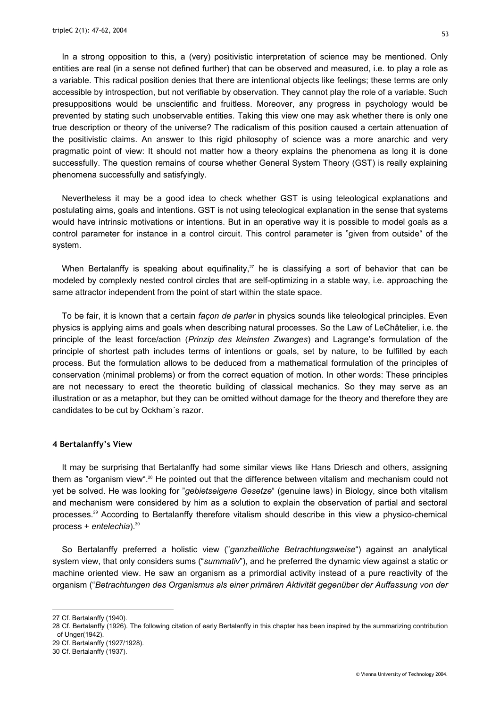In a strong opposition to this, a (very) positivistic interpretation of science may be mentioned. Only entities are real (in a sense not defined further) that can be observed and measured, i.e. to play a role as a variable. This radical position denies that there are intentional objects like feelings; these terms are only accessible by introspection, but not verifiable by observation. They cannot play the role of a variable. Such presuppositions would be unscientific and fruitless. Moreover, any progress in psychology would be prevented by stating such unobservable entities. Taking this view one may ask whether there is only one true description or theory of the universe? The radicalism of this position caused a certain attenuation of the positivistic claims. An answer to this rigid philosophy of science was a more anarchic and very pragmatic point of view: It should not matter how a theory explains the phenomena as long it is done successfully. The question remains of course whether General System Theory (GST) is really explaining phenomena successfully and satisfyingly.

Nevertheless it may be a good idea to check whether GST is using teleological explanations and postulating aims, goals and intentions. GST is not using teleological explanation in the sense that systems would have intrinsic motivations or intentions. But in an operative way it is possible to model goals as a control parameter for instance in a control circuit. This control parameter is "given from outside" of the system.

When Bertalanffy is speaking about equifinality, $27$  he is classifying a sort of behavior that can be modeled by complexly nested control circles that are self-optimizing in a stable way, i.e. approaching the same attractor independent from the point of start within the state space.

To be fair, it is known that a certain *façon de parler* in physics sounds like teleological principles. Even physics is applying aims and goals when describing natural processes. So the Law of LeChâtelier, i.e. the principle of the least force/action (*Prinzip des kleinsten Zwanges*) and Lagrange's formulation of the principle of shortest path includes terms of intentions or goals, set by nature, to be fulfilled by each process. But the formulation allows to be deduced from a mathematical formulation of the principles of conservation (minimal problems) or from the correct equation of motion. In other words: These principles are not necessary to erect the theoretic building of classical mechanics. So they may serve as an illustration or as a metaphor, but they can be omitted without damage for the theory and therefore they are candidates to be cut by Ockham´s razor.

#### **4 Bertalanffy's View**

It may be surprising that Bertalanffy had some similar views like Hans Driesch and others, assigning them as "organism view".<sup>28</sup> He pointed out that the difference between vitalism and mechanism could not yet be solved. He was looking for "*gebietseigene Gesetze*" (genuine laws) in Biology, since both vitalism and mechanism were considered by him as a solution to explain the observation of partial and sectoral processes.[29](#page-6-2) According to Bertalanffy therefore vitalism should describe in this view a physico-chemical process + *entelechia*).[30](#page-6-3)

So Bertalanffy preferred a holistic view ("*ganzheitliche Betrachtungsweise*") against an analytical system view, that only considers sums ("*summativ*"), and he preferred the dynamic view against a static or machine oriented view. He saw an organism as a primordial activity instead of a pure reactivity of the organism ("*Betrachtungen des Organismus als einer primären Aktivität gegenüber der Auffassung von der* 

l

<span id="page-6-2"></span>29 Cf. Bertalanffy (1927/1928).

<span id="page-6-0"></span><sup>27</sup> Cf. Bertalanffy (1940).

<span id="page-6-1"></span><sup>28</sup> Cf. Bertalanffy (1926). The following citation of early Bertalanffy in this chapter has been inspired by the summarizing contribution of Unger(1942).

<span id="page-6-3"></span><sup>30</sup> Cf. Bertalanffy (1937).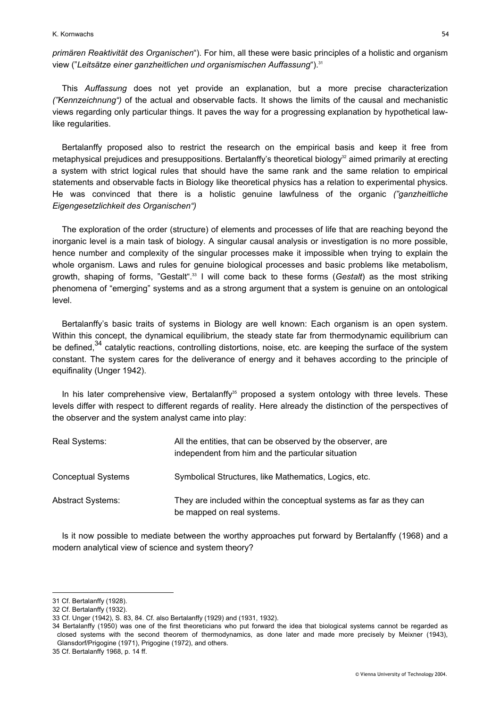K. Kornwachs 54

*primären Reaktivität des Organischen*"). For him, all these were basic principles of a holistic and organism view ("Leitsätze einer ganzheitlichen und organismischen Auffassung").<sup>31</sup>

This *Auffassung* does not yet provide an explanation, but a more precise characterization *("Kennzeichnung")* of the actual and observable facts. It shows the limits of the causal and mechanistic views regarding only particular things. It paves the way for a progressing explanation by hypothetical lawlike regularities.

Bertalanffy proposed also to restrict the research on the empirical basis and keep it free from metaphysical prejudices and presuppositions. Bertalanffy's theoretical biology<sup>32</sup> aimed primarily at erecting a system with strict logical rules that should have the same rank and the same relation to empirical statements and observable facts in Biology like theoretical physics has a relation to experimental physics. He was convinced that there is a holistic genuine lawfulness of the organic *("ganzheitliche Eigengesetzlichkeit des Organischen")* 

The exploration of the order (structure) of elements and processes of life that are reaching beyond the inorganic level is a main task of biology. A singular causal analysis or investigation is no more possible, hence number and complexity of the singular processes make it impossible when trying to explain the whole organism. Laws and rules for genuine biological processes and basic problems like metabolism, growth, shaping of forms, "Gestalt".<sup>33</sup> I will come back to these forms (Gestalt) as the most striking phenomena of "emerging" systems and as a strong argument that a system is genuine on an ontological level.

Bertalanffy's basic traits of systems in Biology are well known: Each organism is an open system. Within this concept, the dynamical equilibrium, the steady state far from thermodynamic equilibrium can be defined,<sup>34</sup> catalytic reactions, controlling distortions, noise, etc. are keeping the surface of the system constant. The system cares for the deliverance of energy and it behaves according to the principle of equifinality (Unger 1942).

In his later comprehensive view, Bertalanffy<sup>35</sup> proposed a system ontology with three levels. These levels differ with respect to different regards of reality. Here already the distinction of the perspectives of the observer and the system analyst came into play:

| Real Systems:             | All the entities, that can be observed by the observer, are<br>independent from him and the particular situation |  |
|---------------------------|------------------------------------------------------------------------------------------------------------------|--|
| <b>Conceptual Systems</b> | Symbolical Structures, like Mathematics, Logics, etc.                                                            |  |
| <b>Abstract Systems:</b>  | They are included within the conceptual systems as far as they can<br>be mapped on real systems.                 |  |

Is it now possible to mediate between the worthy approaches put forward by Bertalanffy (1968) and a modern analytical view of science and system theory?

<span id="page-7-0"></span><sup>31</sup> Cf. Bertalanffy (1928).

<span id="page-7-1"></span><sup>32</sup> Cf. Bertalanffy (1932).

<span id="page-7-2"></span><sup>33</sup> Cf. Unger (1942), S. 83, 84. Cf. also Bertalanffy (1929) and (1931, 1932).

<span id="page-7-3"></span><sup>34</sup> Bertalanffy (1950) was one of the first theoreticians who put forward the idea that biological systems cannot be regarded as closed systems with the second theorem of thermodynamics, as done later and made more precisely by Meixner (1943), Glansdorf/Prigogine (1971), Prigogine (1972), and others.

<span id="page-7-4"></span><sup>35</sup> Cf. Bertalanffy 1968, p. 14 ff.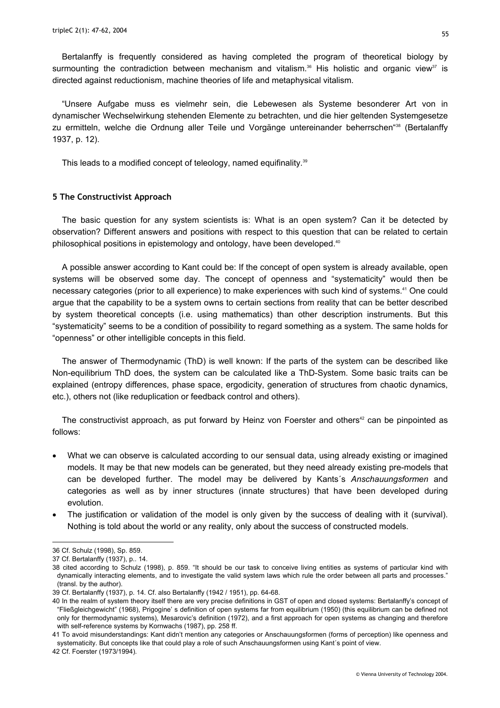Bertalanffy is frequently considered as having completed the program of theoretical biology by surmounting the contradiction between mechanism and vitalism.<sup>36</sup> His holistic and organic view<sup>37</sup> is directed against reductionism, machine theories of life and metaphysical vitalism.

"Unsere Aufgabe muss es vielmehr sein, die Lebewesen als Systeme besonderer Art von in dynamischer Wechselwirkung stehenden Elemente zu betrachten, und die hier geltenden Systemgesetze zu ermitteln, welche die Ordnung aller Teile und Vorgänge untereinander beherrschen"<sup>38</sup> (Bertalanffy 1937, p. 12).

This leads to a modified concept of teleology, named equifinality.<sup>39</sup>

#### **5 The Constructivist Approach**

The basic question for any system scientists is: What is an open system? Can it be detected by observation? Different answers and positions with respect to this question that can be related to certain philosophical positions in epistemology and ontology, have been developed.<sup>40</sup>

A possible answer according to Kant could be: If the concept of open system is already available, open systems will be observed some day. The concept of openness and "systematicity" would then be necessary categories (prior to all experience) to make experiences with such kind of systems.[41](#page-8-5) One could argue that the capability to be a system owns to certain sections from reality that can be better described by system theoretical concepts (i.e. using mathematics) than other description instruments. But this "systematicity" seems to be a condition of possibility to regard something as a system. The same holds for "openness" or other intelligible concepts in this field.

The answer of Thermodynamic (ThD) is well known: If the parts of the system can be described like Non-equilibrium ThD does, the system can be calculated like a ThD-System. Some basic traits can be explained (entropy differences, phase space, ergodicity, generation of structures from chaotic dynamics, etc.), others not (like reduplication or feedback control and others).

The constructivist approach, as put forward by Heinz von Foerster and others<sup>42</sup> can be pinpointed as follows:

- What we can observe is calculated according to our sensual data, using already existing or imagined models. It may be that new models can be generated, but they need already existing pre-models that can be developed further. The model may be delivered by Kants´s *Anschauungsformen* and categories as well as by inner structures (innate structures) that have been developed during evolution.
- The justification or validation of the model is only given by the success of dealing with it (survival). Nothing is told about the world or any reality, only about the success of constructed models.

l

<span id="page-8-6"></span>42 Cf. Foerster (1973/1994).

<span id="page-8-0"></span><sup>36</sup> Cf. Schulz (1998), Sp. 859.

<span id="page-8-1"></span><sup>37</sup> Cf. Bertalanffy (1937), p.. 14.

<span id="page-8-2"></span><sup>38</sup> cited according to Schulz (1998), p. 859. "It should be our task to conceive living entities as systems of particular kind with dynamically interacting elements, and to investigate the valid system laws which rule the order between all parts and processes." (transl. by the author).

<span id="page-8-3"></span><sup>39</sup> Cf. Bertalanffy (1937), p. 14. Cf. also Bertalanffy (1942 / 1951), pp. 64-68.

<span id="page-8-4"></span><sup>40</sup> In the realm of system theory itself there are very precise definitions in GST of open and closed systems: Bertalanffy's concept of "Fließgleichgewicht" (1968), Prigogine' s definition of open systems far from equilibrium (1950) (this equilibrium can be defined not only for thermodynamic systems), Mesarovic's definition (1972), and a first approach for open systems as changing and therefore with self-reference systems by Kornwachs (1987), pp. 258 ff.

<span id="page-8-5"></span><sup>41</sup> To avoid misunderstandings: Kant didn't mention any categories or Anschauungsformen (forms of perception) like openness and systematicity. But concepts like that could play a role of such Anschauungsformen using Kant´s point of view.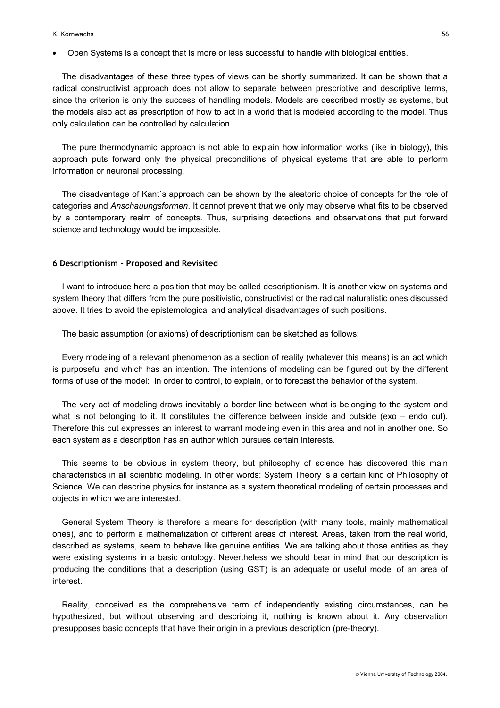#### K. Kornwachs 56

• Open Systems is a concept that is more or less successful to handle with biological entities.

The disadvantages of these three types of views can be shortly summarized. It can be shown that a radical constructivist approach does not allow to separate between prescriptive and descriptive terms, since the criterion is only the success of handling models. Models are described mostly as systems, but the models also act as prescription of how to act in a world that is modeled according to the model. Thus only calculation can be controlled by calculation.

The pure thermodynamic approach is not able to explain how information works (like in biology), this approach puts forward only the physical preconditions of physical systems that are able to perform information or neuronal processing.

The disadvantage of Kant´s approach can be shown by the aleatoric choice of concepts for the role of categories and *Anschauungsformen*. It cannot prevent that we only may observe what fits to be observed by a contemporary realm of concepts. Thus, surprising detections and observations that put forward science and technology would be impossible.

#### **6 Descriptionism - Proposed and Revisited**

I want to introduce here a position that may be called descriptionism. It is another view on systems and system theory that differs from the pure positivistic, constructivist or the radical naturalistic ones discussed above. It tries to avoid the epistemological and analytical disadvantages of such positions.

The basic assumption (or axioms) of descriptionism can be sketched as follows:

Every modeling of a relevant phenomenon as a section of reality (whatever this means) is an act which is purposeful and which has an intention. The intentions of modeling can be figured out by the different forms of use of the model: In order to control, to explain, or to forecast the behavior of the system.

The very act of modeling draws inevitably a border line between what is belonging to the system and what is not belonging to it. It constitutes the difference between inside and outside (exo – endo cut). Therefore this cut expresses an interest to warrant modeling even in this area and not in another one. So each system as a description has an author which pursues certain interests.

This seems to be obvious in system theory, but philosophy of science has discovered this main characteristics in all scientific modeling. In other words: System Theory is a certain kind of Philosophy of Science. We can describe physics for instance as a system theoretical modeling of certain processes and objects in which we are interested.

General System Theory is therefore a means for description (with many tools, mainly mathematical ones), and to perform a mathematization of different areas of interest. Areas, taken from the real world, described as systems, seem to behave like genuine entities. We are talking about those entities as they were existing systems in a basic ontology. Nevertheless we should bear in mind that our description is producing the conditions that a description (using GST) is an adequate or useful model of an area of interest.

Reality, conceived as the comprehensive term of independently existing circumstances, can be hypothesized, but without observing and describing it, nothing is known about it. Any observation presupposes basic concepts that have their origin in a previous description (pre-theory).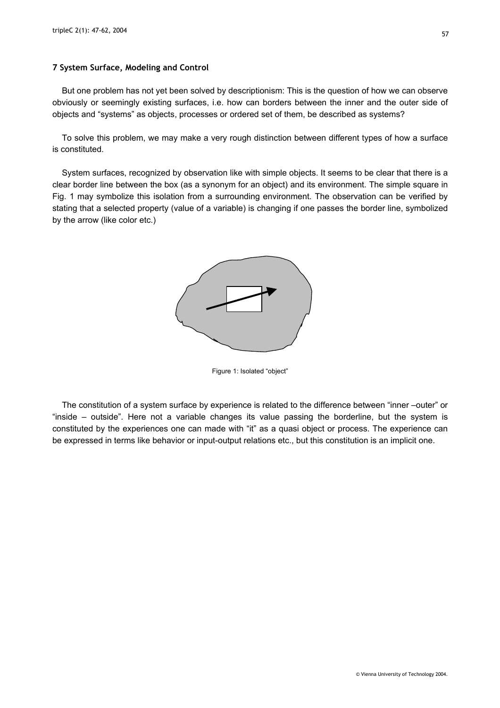#### **7 System Surface, Modeling and Control**

But one problem has not yet been solved by descriptionism: This is the question of how we can observe obviously or seemingly existing surfaces, i.e. how can borders between the inner and the outer side of objects and "systems" as objects, processes or ordered set of them, be described as systems?

To solve this problem, we may make a very rough distinction between different types of how a surface is constituted.

System surfaces, recognized by observation like with simple objects. It seems to be clear that there is a clear border line between the box (as a synonym for an object) and its environment. The simple square in Fig. 1 may symbolize this isolation from a surrounding environment. The observation can be verified by stating that a selected property (value of a variable) is changing if one passes the border line, symbolized by the arrow (like color etc.)



Figure 1: Isolated "object"

The constitution of a system surface by experience is related to the difference between "inner –outer" or "inside – outside". Here not a variable changes its value passing the borderline, but the system is constituted by the experiences one can made with "it" as a quasi object or process. The experience can be expressed in terms like behavior or input-output relations etc., but this constitution is an implicit one.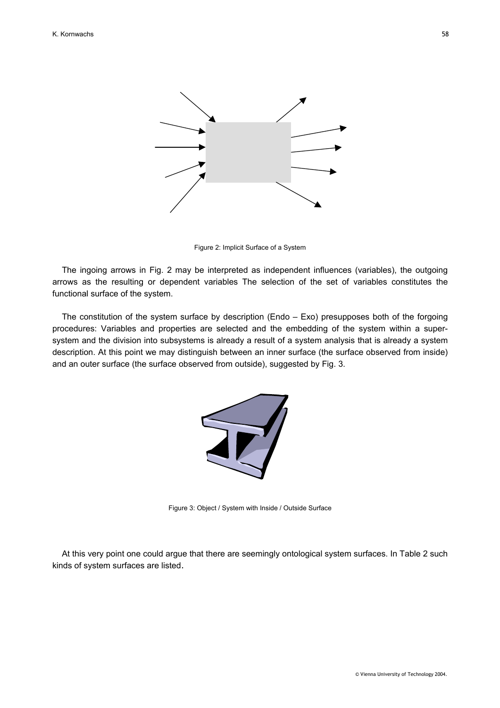

Figure 2: Implicit Surface of a System

The ingoing arrows in Fig. 2 may be interpreted as independent influences (variables), the outgoing arrows as the resulting or dependent variables The selection of the set of variables constitutes the functional surface of the system.

The constitution of the system surface by description (Endo – Exo) presupposes both of the forgoing procedures: Variables and properties are selected and the embedding of the system within a supersystem and the division into subsystems is already a result of a system analysis that is already a system description. At this point we may distinguish between an inner surface (the surface observed from inside) and an outer surface (the surface observed from outside), suggested by Fig. 3.



Figure 3: Object / System with Inside / Outside Surface

At this very point one could argue that there are seemingly ontological system surfaces. In Table 2 such kinds of system surfaces are listed.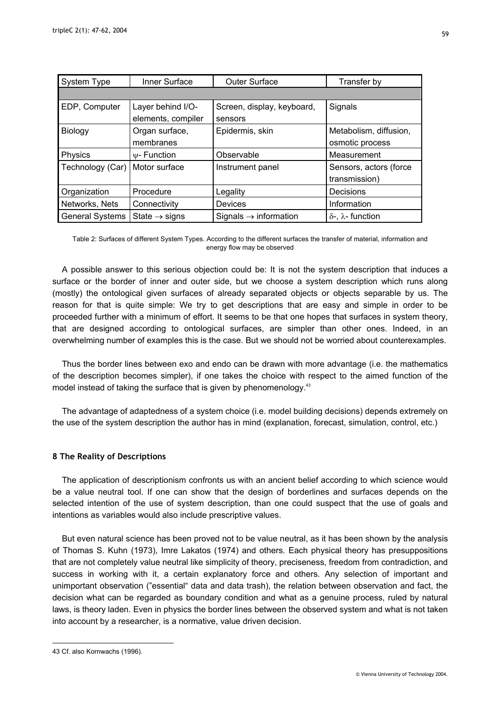| <b>System Type</b>     | Inner Surface                           | <b>Outer Surface</b>                  | Transfer by                               |
|------------------------|-----------------------------------------|---------------------------------------|-------------------------------------------|
|                        |                                         |                                       |                                           |
| EDP, Computer          | Layer behind I/O-<br>elements, compiler | Screen, display, keyboard,<br>sensors | Signals                                   |
| Biology                | Organ surface,<br>membranes             | Epidermis, skin                       | Metabolism, diffusion,<br>osmotic process |
| Physics                | $\psi$ - Function                       | Observable                            | Measurement                               |
| Technology (Car)       | Motor surface                           | Instrument panel                      | Sensors, actors (force<br>transmission)   |
| Organization           | Procedure                               | Legality                              | Decisions                                 |
| Networks, Nets         | Connectivity                            | Devices                               | Information                               |
| <b>General Systems</b> | State $\rightarrow$ signs               | Signals $\rightarrow$ information     | $\delta$ -, $\lambda$ - function          |

Table 2: Surfaces of different System Types. According to the different surfaces the transfer of material, information and energy flow may be observed

A possible answer to this serious objection could be: It is not the system description that induces a surface or the border of inner and outer side, but we choose a system description which runs along (mostly) the ontological given surfaces of already separated objects or objects separable by us. The reason for that is quite simple: We try to get descriptions that are easy and simple in order to be proceeded further with a minimum of effort. It seems to be that one hopes that surfaces in system theory, that are designed according to ontological surfaces, are simpler than other ones. Indeed, in an overwhelming number of examples this is the case. But we should not be worried about counterexamples.

Thus the border lines between exo and endo can be drawn with more advantage (i.e. the mathematics of the description becomes simpler), if one takes the choice with respect to the aimed function of the model instead of taking the surface that is given by phenomenology.<sup>43</sup>

The advantage of adaptedness of a system choice (i.e. model building decisions) depends extremely on the use of the system description the author has in mind (explanation, forecast, simulation, control, etc.)

## **8 The Reality of Descriptions**

The application of descriptionism confronts us with an ancient belief according to which science would be a value neutral tool. If one can show that the design of borderlines and surfaces depends on the selected intention of the use of system description, than one could suspect that the use of goals and intentions as variables would also include prescriptive values.

But even natural science has been proved not to be value neutral, as it has been shown by the analysis of Thomas S. Kuhn (1973), Imre Lakatos (1974) and others. Each physical theory has presuppositions that are not completely value neutral like simplicity of theory, preciseness, freedom from contradiction, and success in working with it, a certain explanatory force and others. Any selection of important and unimportant observation ("essential" data and data trash), the relation between observation and fact, the decision what can be regarded as boundary condition and what as a genuine process, ruled by natural laws, is theory laden. Even in physics the border lines between the observed system and what is not taken into account by a researcher, is a normative, value driven decision.

<span id="page-12-0"></span><sup>43</sup> Cf. also Kornwachs (1996).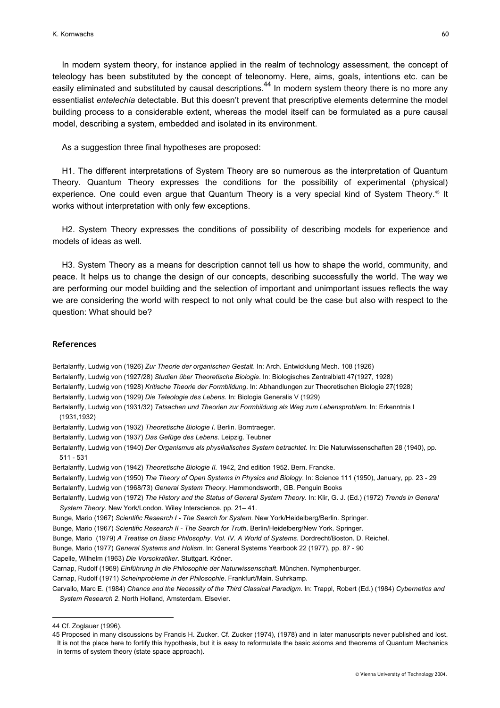In modern system theory, for instance applied in the realm of technology assessment, the concept of teleology has been substituted by the concept of teleonomy. Here, aims, goals, intentions etc. can be easily eliminated and substituted by causal descriptions.<sup>44</sup> In modern system theory there is no more any essentialist *entelechia* detectable. But this doesn't prevent that prescriptive elements determine the model building process to a considerable extent, whereas the model itself can be formulated as a pure causal model, describing a system, embedded and isolated in its environment.

#### As a suggestion three final hypotheses are proposed:

H1. The different interpretations of System Theory are so numerous as the interpretation of Quantum Theory. Quantum Theory expresses the conditions for the possibility of experimental (physical) experience. One could even argue that Quantum Theory is a very special kind of System Theory.<sup>45</sup> It works without interpretation with only few exceptions.

H2. System Theory expresses the conditions of possibility of describing models for experience and models of ideas as well.

H3. System Theory as a means for description cannot tell us how to shape the world, community, and peace. It helps us to change the design of our concepts, describing successfully the world. The way we are performing our model building and the selection of important and unimportant issues reflects the way we are considering the world with respect to not only what could be the case but also with respect to the question: What should be?

#### **References**

Bertalanffy, Ludwig von (1926) *Zur Theorie der organischen Gestalt*. In: Arch. Entwicklung Mech. 108 (1926)

- Bertalanffy, Ludwig von (1927/28) *Studien über Theoretische Biologie*. In: Biologisches Zentralblatt 47(1927, 1928)
- Bertalanffy, Ludwig von (1928) *Kritische Theorie der Formbildung*. In: Abhandlungen zur Theoretischen Biologie 27(1928)
- Bertalanffy, Ludwig von (1929) *Die Teleologie des Lebens*. In: Biologia Generalis V (1929)
- Bertalanffy, Ludwig von (1931/32) *Tatsachen und Theorien zur Formbildung als Weg zum Lebensproblem*. In: Erkenntnis I (1931,1932)
- Bertalanffy, Ludwig von (1932) *Theoretische Biologie I*. Berlin. Borntraeger.
- Bertalanffy, Ludwig von (1937) *Das Gefüge des Lebens*. Leipzig. Teubner
- Bertalanffy, Ludwig von (1940) *Der Organismus als physikalisches System betrachtet*. In: Die Naturwissenschaften 28 (1940), pp. 511 - 531
- Bertalanffy, Ludwig von (1942) *Theoretische Biologie II.* 1942, 2nd edition 1952. Bern. Francke.
- Bertalanffy, Ludwig von (1950) *The Theory of Open Systems in Physics and Biology*. In: Science 111 (1950), January, pp. 23 29 Bertalanffy, Ludwig von (1968/73) *General System Theory*. Hammondsworth, GB. Penguin Books
- Bertalanffy, Ludwig von (1972) *The History and the Status of General System Theory*. In: Klir, G. J. (Ed.) (1972) *Trends in General System Theory*. New York/London. Wiley Interscience. pp. 21– 41.
- Bunge, Mario (1967) *Scientific Research I The Search for System*. New York/Heidelberg/Berlin. Springer.
- Bunge, Mario (1967) *Scientific Research II The Search for Truth*. Berlin/Heidelberg/New York. Springer.
- Bunge, Mario (1979) *A Treatise on Basic Philosophy*. *Vol. IV. A World of Systems*. Dordrecht/Boston. D. Reichel.

Bunge, Mario (1977) *General Systems and Holism*. In: General Systems Yearbook 22 (1977), pp. 87 - 90

Capelle, Wilhelm (1963) *Die Vorsokratiker*. Stuttgart. Kröner.

Carnap, Rudolf (1969) *Einführung in die Philosophie der Naturwissenschaft*. München. Nymphenburger.

Carnap, Rudolf (1971) *Scheinprobleme in der Philosophie*. Frankfurt/Main. Suhrkamp.

Carvallo, Marc E. (1984) *Chance and the Necessity of the Third Classical Paradigm*. In: Trappl, Robert (Ed.) (1984) *Cybernetics and System Research 2*. North Holland, Amsterdam. Elsevier.

<span id="page-13-0"></span><sup>44</sup> Cf. Zoglauer (1996).

<span id="page-13-1"></span><sup>45</sup> Proposed in many discussions by Francis H. Zucker. Cf. Zucker (1974), (1978) and in later manuscripts never published and lost. It is not the place here to fortify this hypothesis, but it is easy to reformulate the basic axioms and theorems of Quantum Mechanics in terms of system theory (state space approach).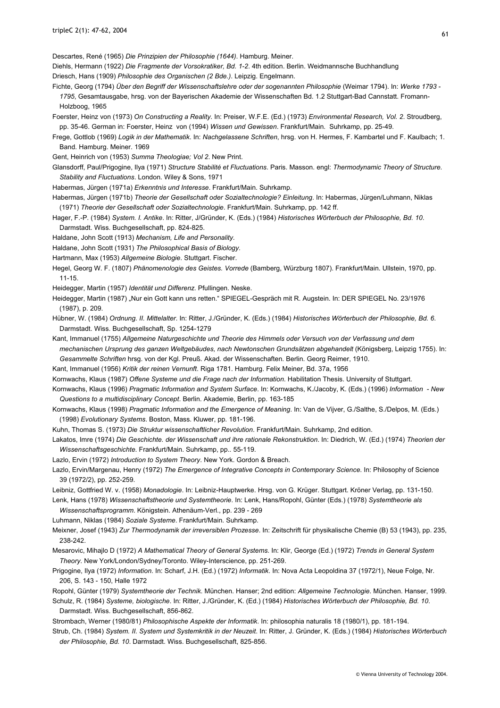Descartes, René (1965) *Die Prinzipien der Philosophie (1644)*. Hamburg. Meiner.

Diehls, Hermann (1922) *Die Fragmente der Vorsokratiker, Bd. 1-2*. 4th edition. Berlin. Weidmannsche Buchhandlung

Driesch, Hans (1909) *Philosophie des Organischen (2 Bde.)*. Leipzig. Engelmann.

- Fichte, Georg (1794) *Über den Begriff der Wissenschaftslehre oder der sogenannten Philosophie* (Weimar 1794). In: *Werke 1793 1795*, Gesamtausgabe, hrsg. von der Bayerischen Akademie der Wissenschaften Bd. 1.2 Stuttgart-Bad Cannstatt. Fromann-Holzboog, 1965
- Foerster, Heinz von (1973) *On Constructing a Reality*. In: Preiser, W.F.E. (Ed.) (1973) *Environmental Research, Vol. 2*. Stroudberg, pp. 35-46. German in: Foerster, Heinz von (1994) *Wissen und Gewissen*. Frankfurt/Main. Suhrkamp, pp. 25-49.
- Frege, Gottlob (1969) *Logik in der Mathematik*. In: *Nachgelassene Schriften*, hrsg. von H. Hermes, F. Kambartel und F. Kaulbach; 1. Band. Hamburg. Meiner. 1969

Gent, Heinrich von (1953) *Summa Theologiae; Vol 2*. New Print.

- Glansdorff, Paul/Prigogine, Ilya (1971) *Structure Stabilité et Fluctuations*. Paris. Masson. engl: *Thermodynamic Theory of Structure. Stability and Fluctuations*. London. Wiley & Sons, 1971
- Habermas, Jürgen (1971a) *Erkenntnis und Interesse*. Frankfurt/Main. Suhrkamp.
- Habermas, Jürgen (1971b) *Theorie der Gesellschaft oder Sozialtechnologie? Einleitung*. In: Habermas, Jürgen/Luhmann, Niklas (1971) *Theorie der Gesellschaft oder Sozialtechnologie*. Frankfurt/Main. Suhrkamp, pp. 142 ff.
- Hager, F.-P. (1984) *System. I. Antike*. In: Ritter, J/Gründer, K. (Eds.) (1984) *Historisches Wörterbuch der Philosophie, Bd. 10*. Darmstadt. Wiss. Buchgesellschaft, pp. 824-825.
- Haldane, John Scott (1913) *Mechanism, Life and Personality.*
- Haldane, John Scott (1931) *The Philosophical Basis of Biology.*
- Hartmann, Max (1953) *Allgemeine Biologie*. Stuttgart. Fischer.
- Hegel, Georg W. F. (1807) *Phänomenologie des Geistes. Vorrede* (Bamberg, Würzburg 1807). Frankfurt/Main. Ullstein, 1970, pp. 11-15.
- Heidegger, Martin (1957) *Identität und Differenz*. Pfullingen. Neske.
- Heidegger, Martin (1987) "Nur ein Gott kann uns retten." SPIEGEL-Gespräch mit R. Augstein. In: DER SPIEGEL No. 23/1976 (1987), p. 209.
- Hübner, W. (1984) *Ordnung. II. Mittelalter*. In: Ritter, J./Gründer, K. (Eds.) (1984) *Historisches Wörterbuch der Philosophie, Bd. 6*. Darmstadt. Wiss. Buchgesellschaft, Sp. 1254-1279
- Kant, Immanuel (1755) *Allgemeine Naturgeschichte und Theorie des Himmels oder Versuch von der Verfassung und dem mechanischen Ursprung des ganzen Weltgebäudes, nach Newtonschen Grundsätzen abgehandelt* (Königsberg, Leipzig 1755). In: *Gesammelte Schriften* hrsg. von der Kgl. Preuß. Akad. der Wissenschaften. Berlin. Georg Reimer, 1910.

Kant, Immanuel (1956) *Kritik der reinen Vernunft*. Riga 1781. Hamburg. Felix Meiner, Bd. 37a, 1956

- Kornwachs, Klaus (1987) *Offene Systeme und die Frage nach der Information*. Habilitation Thesis. University of Stuttgart.
- Kornwachs, Klaus (1996) *Pragmatic Information and System Surface*. In: Kornwachs, K./Jacoby, K. (Eds.) (1996) *Information New Questions to a multidisciplinary Concept*. Berlin. Akademie, Berlin, pp. 163-185

Kornwachs, Klaus (1998) *Pragmatic Information and the Emergence of Meaning*. In: Van de Vijver, G./Salthe, S./Delpos, M. (Eds.) (1998) *Evolutionary Systems*. Boston, Mass. Kluwer, pp. 181-196.

Kuhn, Thomas S. (1973) *Die Struktur wissenschaftlicher Revolution*. Frankfurt/Main. Suhrkamp, 2nd edition.

Lakatos, Imre (1974) *Die Geschichte. der Wissenschaft und ihre rationale Rekonstruktion*. In: Diedrich, W. (Ed.) (1974) *Theorien der Wissenschaftsgeschichte*. Frankfurt/Main. Suhrkamp, pp.. 55-119.

- Lazlo, Ervin (1972) *Introduction to System Theory*. New York. Gordon & Breach.
- Lazlo, Ervin/Margenau, Henry (1972) *The Emergence of Integrative Concepts in Contemporary Science*. In: Philosophy of Science 39 (1972/2), pp. 252-259.
- Leibniz, Gottfried W. v. (1958) *Monadologie*. In: Leibniz-Hauptwerke. Hrsg. von G. Krüger. Stuttgart. Kröner Verlag, pp. 131-150.

Lenk, Hans (1978) *Wissenschaftstheorie und Systemtheorie*. In: Lenk, Hans/Ropohl, Günter (Eds.) (1978) *Systemtheorie als Wissenschaftsprogramm*. Königstein. Athenäum-Verl., pp. 239 - 269

Luhmann, Niklas (1984) *Soziale Systeme*. Frankfurt/Main. Suhrkamp.

Meixner, Josef (1943) *Zur Thermodynamik der irreversiblen Prozesse*. In: Zeitschrift für physikalische Chemie (B) 53 (1943), pp. 235, 238-242.

Mesarovic, Mihajlo D (1972) *A Mathematical Theory of General Systems*. In: Klir, George (Ed.) (1972) *Trends in General System Theory*. New York/London/Sydney/Toronto. Wiley-Interscience, pp. 251-269.

Prigogine, Ilya (1972) *Information*. In: Scharf, J.H. (Ed.) (1972) *Informatik*. In: Nova Acta Leopoldina 37 (1972/1), Neue Folge, Nr. 206, S. 143 - 150, Halle 1972

Ropohl, Günter (1979) *Systemtheorie der Technik*. München. Hanser; 2nd edition: *Allgemeine Technologie*. München. Hanser, 1999.

Schulz, R. (1984) *Systeme, biologische*. In: Ritter, J./Gründer, K. (Ed.) (1984) *Historisches Wörterbuch der Philosophie, Bd. 10*. Darmstadt. Wiss. Buchgesellschaft, 856-862.

Strombach, Werner (1980/81) *Philosophische Aspekte der Informatik*. In: philosophia naturalis 18 (1980/1), pp. 181-194.

Strub, Ch. (1984) *System. II. System und Systemkritik in der Neuzeit*. In: Ritter, J. Gründer, K. (Eds.) (1984) *Historisches Wörterbuch der Philosophie, Bd. 10*. Darmstadt. Wiss. Buchgesellschaft, 825-856.